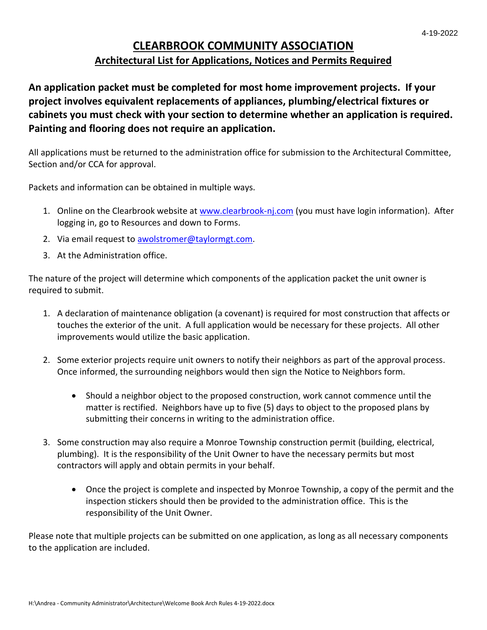## **CLEARBROOK COMMUNITY ASSOCIATION Architectural List for Applications, Notices and Permits Required**

**An application packet must be completed for most home improvement projects. If your project involves equivalent replacements of appliances, plumbing/electrical fixtures or cabinets you must check with your section to determine whether an application is required. Painting and flooring does not require an application.**

All applications must be returned to the administration office for submission to the Architectural Committee, Section and/or CCA for approval.

Packets and information can be obtained in multiple ways.

- 1. Online on the Clearbrook website at [www.clearbrook-nj.com](http://www.clearbrook-nj.com/) (you must have login information). After logging in, go to Resources and down to Forms.
- 2. Via email request to **awolstromer@taylormgt.com**.
- 3. At the Administration office.

The nature of the project will determine which components of the application packet the unit owner is required to submit.

- 1. A declaration of maintenance obligation (a covenant) is required for most construction that affects or touches the exterior of the unit. A full application would be necessary for these projects. All other improvements would utilize the basic application.
- 2. Some exterior projects require unit owners to notify their neighbors as part of the approval process. Once informed, the surrounding neighbors would then sign the Notice to Neighbors form.
	- Should a neighbor object to the proposed construction, work cannot commence until the matter is rectified. Neighbors have up to five (5) days to object to the proposed plans by submitting their concerns in writing to the administration office.
- 3. Some construction may also require a Monroe Township construction permit (building, electrical, plumbing). It is the responsibility of the Unit Owner to have the necessary permits but most contractors will apply and obtain permits in your behalf.
	- Once the project is complete and inspected by Monroe Township, a copy of the permit and the inspection stickers should then be provided to the administration office. This is the responsibility of the Unit Owner.

Please note that multiple projects can be submitted on one application, as long as all necessary components to the application are included.